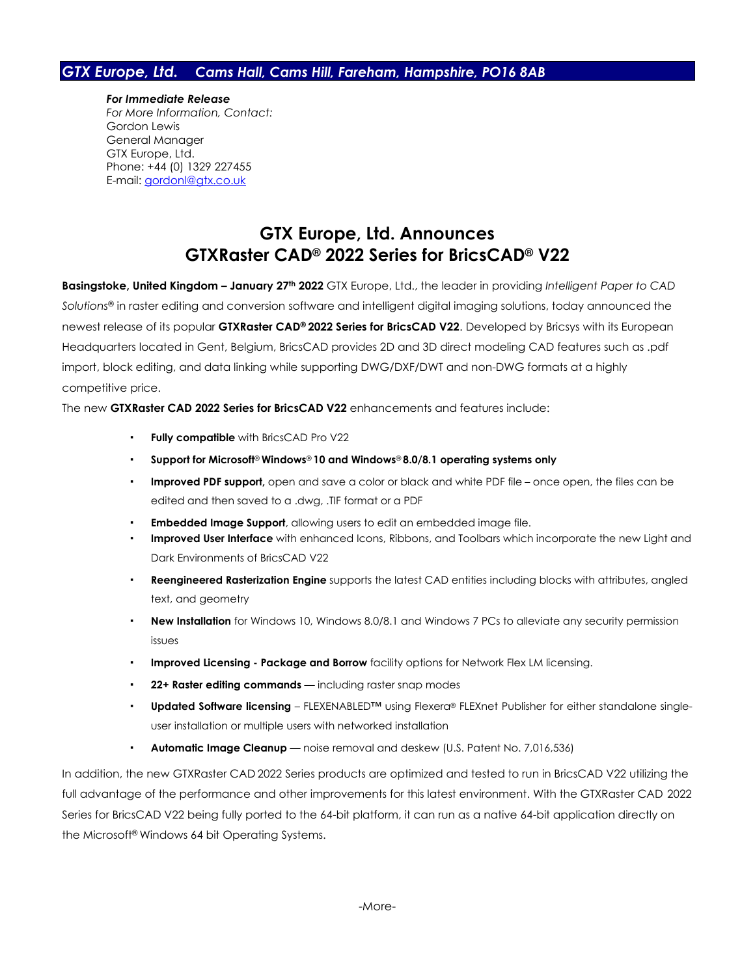## *GTX Europe, Ltd. Cams Hall, Cams Hill, Fareham, Hampshire, PO16 8AB*

*For Immediate Release For More Information, Contact:* Gordon Lewis General Manager GTX Europe, Ltd. Phone: +44 (0) 1329 227455 E-mail: [gordonl@gtx.co.uk](mailto:gordonl@gtx.co.uk)

## **GTX Europe, Ltd. Announces GTXRaster CAD® 2022 Series for BricsCAD® V22**

**Basingstoke, United Kingdom – January 27 th 2022** GTX Europe, Ltd., the leader in providing *Intelligent Paper to CAD Solutions*® in raster editing and conversion software and intelligent digital imaging solutions, today announced the newest release of its popular **GTXRaster CAD® 2022 Series for BricsCAD V22**. Developed by Bricsys with its European Headquarters located in Gent, Belgium, BricsCAD provides 2D and 3D direct modeling CAD features such as .pdf import, block editing, and data linking while supporting DWG/DXF/DWT and non-DWG formats at a highly competitive price.

The new **GTXRaster CAD 2022 Series for BricsCAD V22** enhancements and features include:

- **Fully compatible** with BricsCAD Pro V22
- **Support for Microsoft**® **Windows**® **10 and Windows**® **8.0/8.1 operating systems only**
- **Improved PDF support**, open and save a color or black and white PDF file once open, the files can be edited and then saved to a .dwg, .TIF format or a PDF
- **Embedded Image Support**, allowing users to edit an embedded image file.
- **Improved User Interface** with enhanced Icons, Ribbons, and Toolbars which incorporate the new Light and Dark Environments of BricsCAD V22
- **Reengineered Rasterization Engine** supports the latest CAD entities including blocks with attributes, angled text, and geometry
- **New Installation** for Windows 10, Windows 8.0/8.1 and Windows 7 PCs to alleviate any security permission issues
- **Improved Licensing - Package and Borrow** facility options for Network Flex LM licensing.
- **22+ Raster editing commands** including raster snap modes
- **Updated Software licensing** FLEXENABLED™ using Flexera® FLEXnet Publisher for either standalone singleuser installation or multiple users with networked installation
- **Automatic Image Cleanup** noise removal and deskew (U.S. Patent No. 7,016,536)

In addition, the new GTXRaster CAD 2022 Series products are optimized and tested to run in BricsCAD V22 utilizing the full advantage of the performance and other improvements for this latest environment. With the GTXRaster CAD 2022 Series for BricsCAD V22 being fully ported to the 64-bit platform, it can run as a native 64-bit application directly on the Microsoft® Windows 64 bit Operating Systems.